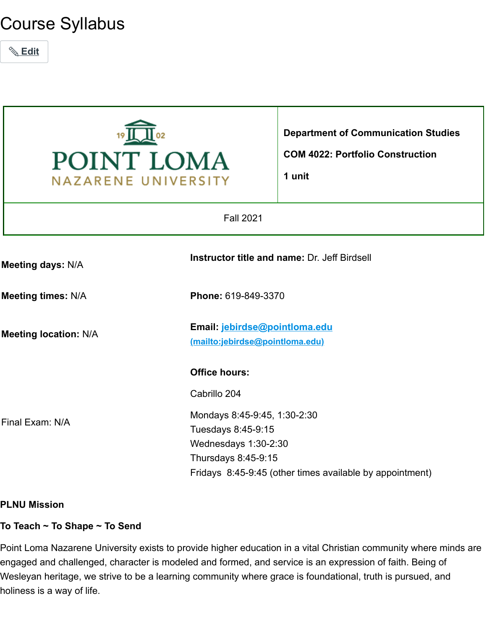# Course Syllabus





# **PLNU Mission**

#### **To Teach ~ To Shape ~ To Send**

Point Loma Nazarene University exists to provide higher education in a vital Christian community where minds are engaged and challenged, character is modeled and formed, and service is an expression of faith. Being of Wesleyan heritage, we strive to be a learning community where grace is foundational, truth is pursued, and holiness is a way of life.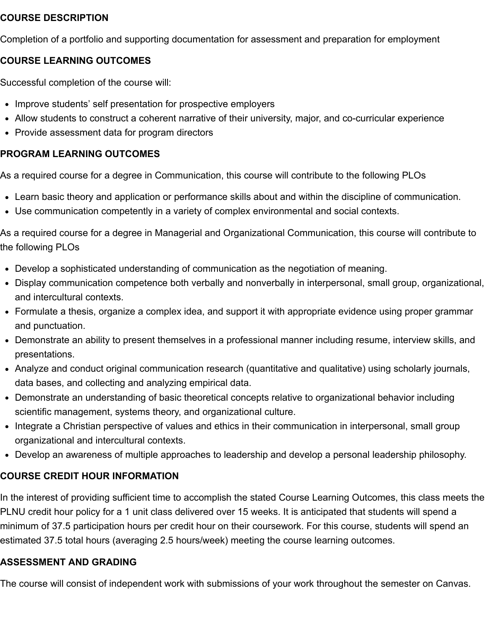#### **COURSE DESCRIPTION**

Completion of a portfolio and supporting documentation for assessment and preparation for employment

## **COURSE LEARNING OUTCOMES**

Successful completion of the course will:

- Improve students' self presentation for prospective employers
- Allow students to construct a coherent narrative of their university, major, and co-curricular experience
- Provide assessment data for program directors

## **PROGRAM LEARNING OUTCOMES**

As a required course for a degree in Communication, this course will contribute to the following PLOs

- Learn basic theory and application or performance skills about and within the discipline of communication.
- Use communication competently in a variety of complex environmental and social contexts.

As a required course for a degree in Managerial and Organizational Communication, this course will contribute to the following PLOs

- Develop a sophisticated understanding of communication as the negotiation of meaning.
- Display communication competence both verbally and nonverbally in interpersonal, small group, organizational, and intercultural contexts.
- Formulate a thesis, organize a complex idea, and support it with appropriate evidence using proper grammar and punctuation.
- Demonstrate an ability to present themselves in a professional manner including resume, interview skills, and presentations.
- Analyze and conduct original communication research (quantitative and qualitative) using scholarly journals, data bases, and collecting and analyzing empirical data.
- Demonstrate an understanding of basic theoretical concepts relative to organizational behavior including scientific management, systems theory, and organizational culture.
- Integrate a Christian perspective of values and ethics in their communication in interpersonal, small group organizational and intercultural contexts.
- Develop an awareness of multiple approaches to leadership and develop a personal leadership philosophy.

# **COURSE CREDIT HOUR INFORMATION**

In the interest of providing sufficient time to accomplish the stated Course Learning Outcomes, this class meets the PLNU credit hour policy for a 1 unit class delivered over 15 weeks. It is anticipated that students will spend a minimum of 37.5 participation hours per credit hour on their coursework. For this course, students will spend an estimated 37.5 total hours (averaging 2.5 hours/week) meeting the course learning outcomes.

#### **ASSESSMENT AND GRADING**

The course will consist of independent work with submissions of your work throughout the semester on Canvas.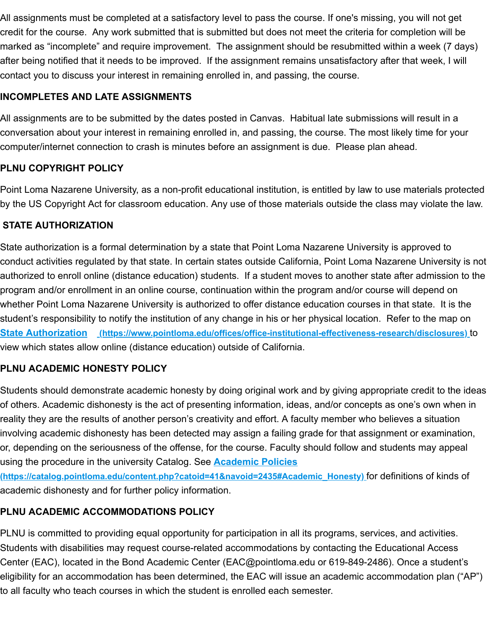All assignments must be completed at a satisfactory level to pass the course. If one's missing, you will not get credit for the course. Any work submitted that is submitted but does not meet the criteria for completion will be marked as "incomplete" and require improvement. The assignment should be resubmitted within a week (7 days) after being notified that it needs to be improved. If the assignment remains unsatisfactory after that week, I will contact you to discuss your interest in remaining enrolled in, and passing, the course.

# **INCOMPLETES AND LATE ASSIGNMENTS**

All assignments are to be submitted by the dates posted in Canvas. Habitual late submissions will result in a conversation about your interest in remaining enrolled in, and passing, the course. The most likely time for your computer/internet connection to crash is minutes before an assignment is due. Please plan ahead.

# **PLNU COPYRIGHT POLICY**

Point Loma Nazarene University, as a non-profit educational institution, is entitled by law to use materials protected by the US Copyright Act for classroom education. Any use of those materials outside the class may violate the law.

## **STATE AUTHORIZATION**

State authorization is a formal determination by a state that Point Loma Nazarene University is approved to conduct activities regulated by that state. In certain states outside California, Point Loma Nazarene University is not authorized to enroll online (distance education) students. If a student moves to another state after admission to the program and/or enrollment in an online course, continuation within the program and/or course will depend on whether Point Loma Nazarene University is authorized to offer distance education courses in that state. It is the student's responsibility to notify the institution of any change in his or her physical location. Refer to the map on **State Authorization [\(https://www.pointloma.edu/offices/office-institutional-effectiveness-research/disclosures\)](https://www.pointloma.edu/offices/office-institutional-effectiveness-research/disclosures)** to view which states allow online (distance education) outside of California.

# **PLNU ACADEMIC HONESTY POLICY**

Students should demonstrate academic honesty by doing original work and by giving appropriate credit to the ideas of others. Academic dishonesty is the act of presenting information, ideas, and/or concepts as one's own when in reality they are the results of another person's creativity and effort. A faculty member who believes a situation involving academic dishonesty has been detected may assign a failing grade for that assignment or examination, or, depending on the seriousness of the offense, for the course. Faculty should follow and students may appeal using the procedure in the university Catalog. See **Academic Policies**

**[\(https://catalog.pointloma.edu/content.php?catoid=41&navoid=2435#Academic\\_Honesty\)](https://catalog.pointloma.edu/content.php?catoid=41&navoid=2435#Academic_Honesty)** for definitions of kinds of academic dishonesty and for further policy information.

# **PLNU ACADEMIC ACCOMMODATIONS POLICY**

PLNU is committed to providing equal opportunity for participation in all its programs, services, and activities. Students with disabilities may request course-related accommodations by contacting the Educational Access Center (EAC), located in the Bond Academic Center (EAC@pointloma.edu or 619-849-2486). Once a student's eligibility for an accommodation has been determined, the EAC will issue an academic accommodation plan ("AP") to all faculty who teach courses in which the student is enrolled each semester.